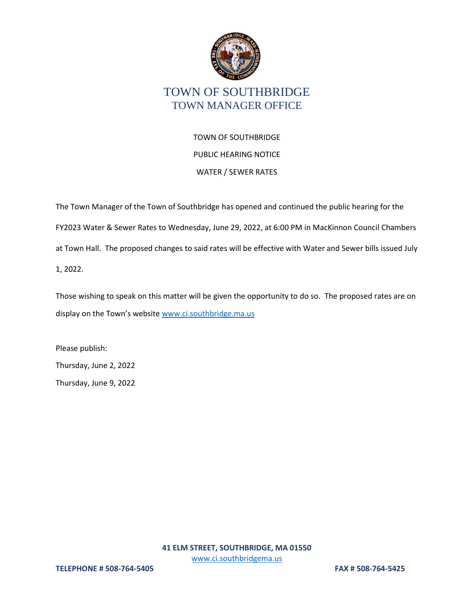

TOWN OF SOUTHBRIDGE PUBLIC HEARING NOTICE WATER / SEWER RATES

The Town Manager of the Town of Southbridge has opened and continued the public hearing for the FY2023 Water & Sewer Rates to Wednesday, June 29, 2022, at 6:00 PM in MacKinnon Council Chambers at Town Hall. The proposed changes to said rates will be effective with Water and Sewer bills issued July 1, 2022.

Those wishing to speak on this matter will be given the opportunity to do so. The proposed rates are on display on the Town's website [www.ci.southbridge.ma.us](http://www.ci.southbridge.ma.us/)

Please publish: Thursday, June 2, 2022 Thursday, June 9, 2022

> **41 ELM STREET, SOUTHBRIDGE, MA 01550** [www.ci.southbridgema.us](http://www.ci.southbridgema.us/)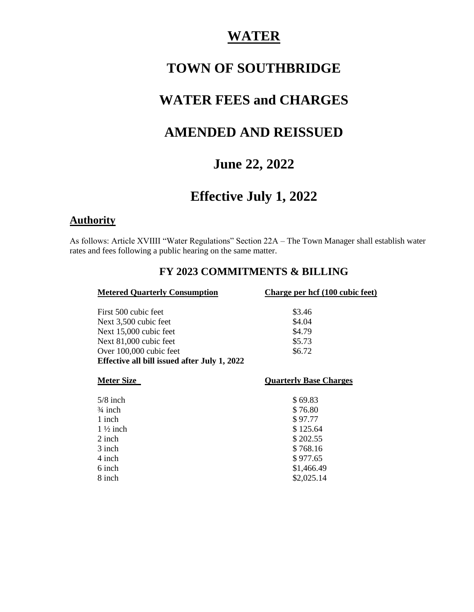# **WATER**

# **TOWN OF SOUTHBRIDGE**

## **WATER FEES and CHARGES**

## **AMENDED AND REISSUED**

# **June 22, 2022**

## **Effective July 1, 2022**

#### **Authority**

As follows: Article XVIIII "Water Regulations" Section 22A – The Town Manager shall establish water rates and fees following a public hearing on the same matter.

#### **FY 2023 COMMITMENTS & BILLING**

#### **Metered Quarterly Consumption Charge per hcf (100 cubic feet)**

| First 500 cubic feet                         | \$3.46 |
|----------------------------------------------|--------|
| Next 3,500 cubic feet                        | \$4.04 |
| Next 15,000 cubic feet                       | \$4.79 |
| Next 81,000 cubic feet                       | \$5.73 |
| Over 100,000 cubic feet                      | \$6.72 |
| Effective all bill issued after July 1, 2022 |        |

| <b>Meter Size</b>   | <b>Quarterly Base Charges</b> |  |
|---------------------|-------------------------------|--|
| $5/8$ inch          | \$69.83                       |  |
| $\frac{3}{4}$ inch  | \$76.80                       |  |
| 1 inch              | \$97.77                       |  |
| $1\frac{1}{2}$ inch | \$125.64                      |  |
| 2 inch              | \$202.55                      |  |
| 3 inch              | \$768.16                      |  |
| 4 inch              | \$977.65                      |  |
| 6 inch              | \$1,466.49                    |  |
| 8 inch              | \$2,025.14                    |  |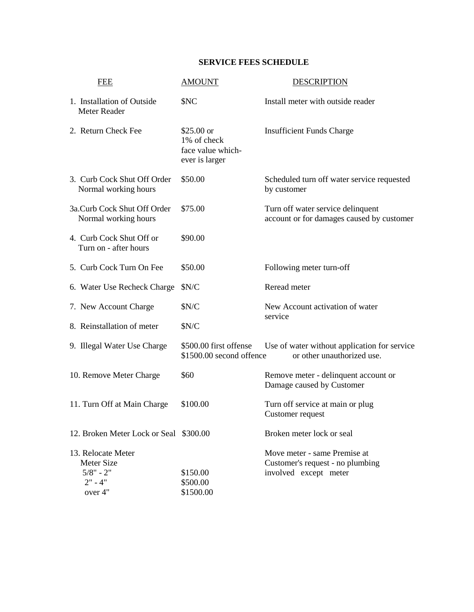#### **SERVICE FEES SCHEDULE**

| <b>FEE</b>                                                              | <b>AMOUNT</b>                                                     | <b>DESCRIPTION</b>                                                                        |
|-------------------------------------------------------------------------|-------------------------------------------------------------------|-------------------------------------------------------------------------------------------|
| 1. Installation of Outside<br><b>Meter Reader</b>                       | \$NC                                                              | Install meter with outside reader                                                         |
| 2. Return Check Fee                                                     | $$25.00$ or<br>1% of check<br>face value which-<br>ever is larger | <b>Insufficient Funds Charge</b>                                                          |
| 3. Curb Cock Shut Off Order<br>Normal working hours                     | \$50.00                                                           | Scheduled turn off water service requested<br>by customer                                 |
| 3a.Curb Cock Shut Off Order<br>Normal working hours                     | \$75.00                                                           | Turn off water service delinquent<br>account or for damages caused by customer            |
| 4. Curb Cock Shut Off or<br>Turn on - after hours                       | \$90.00                                                           |                                                                                           |
| 5. Curb Cock Turn On Fee                                                | \$50.00                                                           | Following meter turn-off                                                                  |
| 6. Water Use Recheck Charge                                             | \$N/C                                                             | Reread meter                                                                              |
| 7. New Account Charge                                                   | \$N/C                                                             | New Account activation of water<br>service                                                |
| 8. Reinstallation of meter                                              | \$N/C                                                             |                                                                                           |
| 9. Illegal Water Use Charge                                             | \$500.00 first offense<br>\$1500.00 second offence                | Use of water without application for service<br>or other unauthorized use.                |
| 10. Remove Meter Charge                                                 | \$60                                                              | Remove meter - delinquent account or<br>Damage caused by Customer                         |
| 11. Turn Off at Main Charge                                             | \$100.00                                                          | Turn off service at main or plug<br>Customer request                                      |
| 12. Broken Meter Lock or Seal \$300.00                                  |                                                                   | Broken meter lock or seal                                                                 |
| 13. Relocate Meter<br>Meter Size<br>$5/8" - 2"$<br>$2" - 4"$<br>over 4" | \$150.00<br>\$500.00<br>\$1500.00                                 | Move meter - same Premise at<br>Customer's request - no plumbing<br>involved except meter |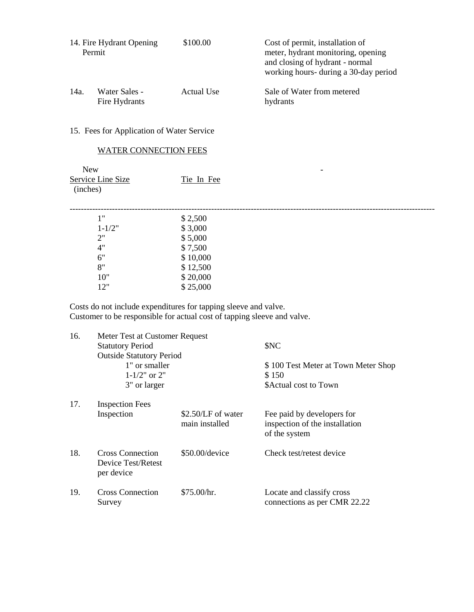|      | 14. Fire Hydrant Opening<br>Permit | \$100.00   | Cost of permit, installation of<br>meter, hydrant monitoring, opening<br>and closing of hydrant - normal<br>working hours-during a 30-day period |
|------|------------------------------------|------------|--------------------------------------------------------------------------------------------------------------------------------------------------|
| 14a. | Water Sales -<br>Fire Hydrants     | Actual Use | Sale of Water from metered<br>hydrants                                                                                                           |

15. Fees for Application of Water Service

#### WATER CONNECTION FEES

| Tie In Fee |
|------------|
|            |
|            |
| \$2,500    |
| \$3,000    |
| \$5,000    |
| \$7,500    |
| \$10,000   |
| \$12,500   |
| \$20,000   |
| \$25,000   |
|            |

Costs do not include expenditures for tapping sleeve and valve. Customer to be responsible for actual cost of tapping sleeve and valve.

| \$NC<br>\$100 Test Meter at Town Meter Shop<br>\$150<br>\$Actual cost to Town                       |
|-----------------------------------------------------------------------------------------------------|
|                                                                                                     |
|                                                                                                     |
|                                                                                                     |
|                                                                                                     |
|                                                                                                     |
|                                                                                                     |
| \$2.50/LF of water<br>Fee paid by developers for<br>inspection of the installation<br>of the system |
| Check test/retest device                                                                            |
| Locate and classify cross                                                                           |
|                                                                                                     |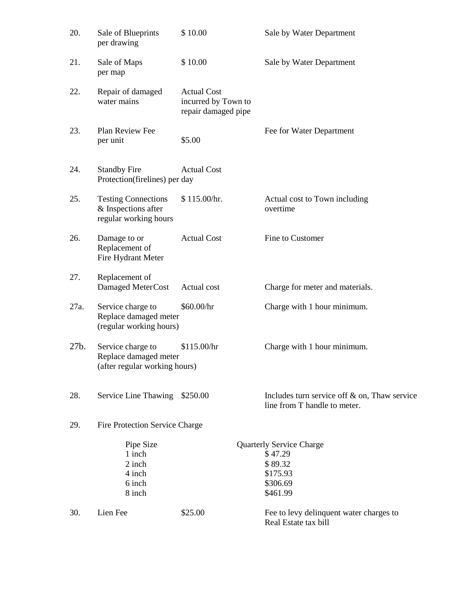| 20.  | Sale of Blueprints<br>per drawing                                           | \$10.00                                                          | Sale by Water Department                                                                  |
|------|-----------------------------------------------------------------------------|------------------------------------------------------------------|-------------------------------------------------------------------------------------------|
| 21.  | Sale of Maps<br>per map                                                     | \$10.00                                                          | Sale by Water Department                                                                  |
| 22.  | Repair of damaged<br>water mains                                            | <b>Actual Cost</b><br>incurred by Town to<br>repair damaged pipe |                                                                                           |
| 23.  | Plan Review Fee<br>per unit                                                 | \$5.00                                                           | Fee for Water Department                                                                  |
| 24.  | <b>Standby Fire</b><br>Protection(firelines) per day                        | <b>Actual Cost</b>                                               |                                                                                           |
| 25.  | <b>Testing Connections</b><br>& Inspections after<br>regular working hours  | \$115.00/hr.                                                     | Actual cost to Town including<br>overtime                                                 |
| 26.  | Damage to or<br>Replacement of<br>Fire Hydrant Meter                        | <b>Actual Cost</b>                                               | Fine to Customer                                                                          |
| 27.  | Replacement of<br>Damaged MeterCost                                         | Actual cost                                                      | Charge for meter and materials.                                                           |
| 27a. | Service charge to<br>Replace damaged meter<br>(regular working hours)       | \$60.00/hr                                                       | Charge with 1 hour minimum.                                                               |
| 27b. | Service charge to<br>Replace damaged meter<br>(after regular working hours) | \$115.00/hr                                                      | Charge with 1 hour minimum.                                                               |
| 28.  | Service Line Thawing                                                        | \$250.00                                                         | Includes turn service of $\&$ on, Thaw service<br>line from T handle to meter.            |
| 29.  | Fire Protection Service Charge                                              |                                                                  |                                                                                           |
|      | Pipe Size<br>1 inch<br>2 inch<br>4 inch<br>6 inch<br>8 inch                 |                                                                  | <b>Quarterly Service Charge</b><br>\$47.29<br>\$89.32<br>\$175.93<br>\$306.69<br>\$461.99 |
| 30.  | Lien Fee                                                                    | \$25.00                                                          | Fee to levy delinquent water charges to<br>Real Estate tax bill                           |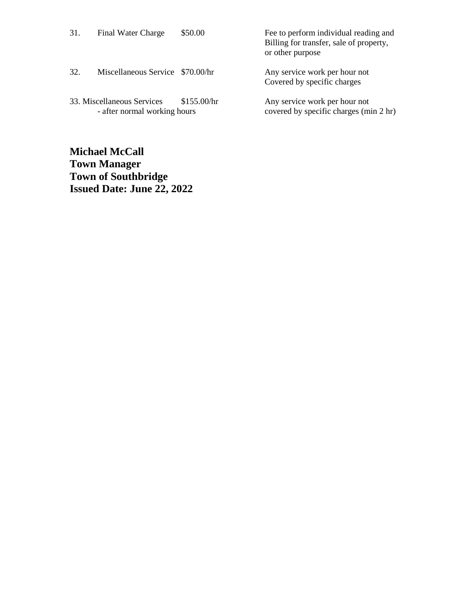| 31. | Final Water Charge                                         | \$50.00     | Fee to perform individual reading and<br>Billing for transfer, sale of property,<br>or other purpose |
|-----|------------------------------------------------------------|-------------|------------------------------------------------------------------------------------------------------|
| 32. | Miscellaneous Service \$70.00/hr                           |             | Any service work per hour not<br>Covered by specific charges                                         |
|     | 33. Miscellaneous Services<br>- after normal working hours | \$155.00/hr | Any service work per hour not<br>covered by specific charges (min 2 hr)                              |

**Michael McCall Town Manager Town of Southbridge Issued Date: June 22, 2022**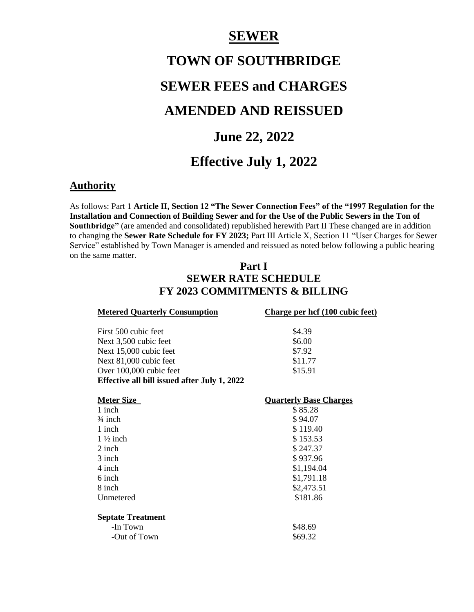## **SEWER**

## **TOWN OF SOUTHBRIDGE**

## **SEWER FEES and CHARGES**

## **AMENDED AND REISSUED**

### **June 22, 2022**

## **Effective July 1, 2022**

#### **Authority**

As follows: Part 1 **Article II, Section 12 "The Sewer Connection Fees" of the "1997 Regulation for the Installation and Connection of Building Sewer and for the Use of the Public Sewers in the Ton of Southbridge"** (are amended and consolidated) republished herewith Part II These changed are in addition to changing the **Sewer Rate Schedule for FY 2023;** Part III Article X, Section 11 "User Charges for Sewer Service" established by Town Manager is amended and reissued as noted below following a public hearing on the same matter.

#### **Part I SEWER RATE SCHEDULE FY 2023 COMMITMENTS & BILLING**

| <b>Metered Quarterly Consumption</b>         | Charge per hcf (100 cubic feet) |
|----------------------------------------------|---------------------------------|
| First 500 cubic feet                         | \$4.39                          |
| Next 3,500 cubic feet                        | \$6.00                          |
| Next 15,000 cubic feet                       | \$7.92                          |
| Next 81,000 cubic feet                       | \$11.77                         |
| Over 100,000 cubic feet                      | \$15.91                         |
| Effective all bill issued after July 1, 2022 |                                 |
| <b>Meter Size</b>                            | <b>Quarterly Base Charges</b>   |
| 1 inch                                       | \$85.28                         |
| $\frac{3}{4}$ inch                           | \$94.07                         |
| 1 inch                                       | \$119.40                        |
| $1\frac{1}{2}$ inch                          | \$153.53                        |
| $2$ inch                                     | \$247.37                        |
| 3 inch                                       | \$937.96                        |
| 4 inch                                       | \$1,194.04                      |
| 6 inch                                       | \$1,791.18                      |
| 8 inch                                       | \$2,473.51                      |
| <b>Unmetered</b>                             | \$181.86                        |
| <b>Septate Treatment</b>                     |                                 |
| -In Town                                     | \$48.69                         |
| -Out of Town                                 | \$69.32                         |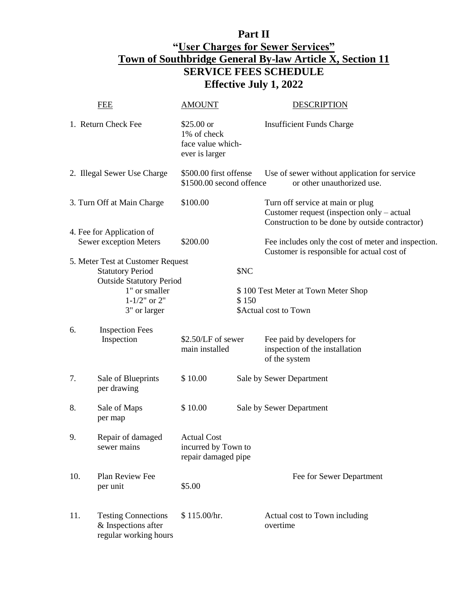## **Part II**

#### **"User Charges for Sewer Services" Town of Southbridge General By-law Article X, Section 11 SERVICE FEES SCHEDULE Effective July 1, 2022**

|     | <b>FEE</b>                                                                                                                                             | <b>AMOUNT</b>                                                     |               | <b>DESCRIPTION</b>                                                                                                               |
|-----|--------------------------------------------------------------------------------------------------------------------------------------------------------|-------------------------------------------------------------------|---------------|----------------------------------------------------------------------------------------------------------------------------------|
|     | 1. Return Check Fee                                                                                                                                    | $$25.00$ or<br>1% of check<br>face value which-<br>ever is larger |               | <b>Insufficient Funds Charge</b>                                                                                                 |
|     | 2. Illegal Sewer Use Charge                                                                                                                            | \$500.00 first offense<br>\$1500.00 second offence                |               | Use of sewer without application for service<br>or other unauthorized use.                                                       |
|     | 3. Turn Off at Main Charge                                                                                                                             | \$100.00                                                          |               | Turn off service at main or plug<br>Customer request (inspection only – actual<br>Construction to be done by outside contractor) |
|     | 4. Fee for Application of<br>Sewer exception Meters                                                                                                    | \$200.00                                                          |               | Fee includes only the cost of meter and inspection.<br>Customer is responsible for actual cost of                                |
|     | 5. Meter Test at Customer Request<br><b>Statutory Period</b><br><b>Outside Statutory Period</b><br>1" or smaller<br>$1 - 1/2"$ or $2"$<br>3" or larger |                                                                   | \$NC<br>\$150 | \$100 Test Meter at Town Meter Shop<br>\$Actual cost to Town                                                                     |
| 6.  | <b>Inspection Fees</b><br>Inspection                                                                                                                   | \$2.50/LF of sewer<br>main installed                              |               | Fee paid by developers for<br>inspection of the installation<br>of the system                                                    |
| 7.  | Sale of Blueprints<br>per drawing                                                                                                                      | \$10.00                                                           |               | Sale by Sewer Department                                                                                                         |
| 8.  | Sale of Maps<br>per map                                                                                                                                | \$10.00                                                           |               | Sale by Sewer Department                                                                                                         |
| 9.  | Repair of damaged<br>sewer mains                                                                                                                       | <b>Actual Cost</b><br>incurred by Town to<br>repair damaged pipe  |               |                                                                                                                                  |
| 10. | Plan Review Fee<br>per unit                                                                                                                            | \$5.00                                                            |               | Fee for Sewer Department                                                                                                         |
| 11. | <b>Testing Connections</b><br>& Inspections after<br>regular working hours                                                                             | \$115.00/hr.                                                      |               | Actual cost to Town including<br>overtime                                                                                        |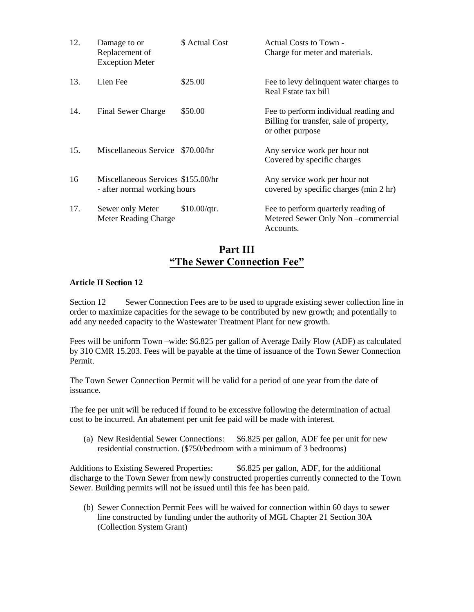| 12. | Damage to or<br>Replacement of<br><b>Exception Meter</b>           | \$ Actual Cost | Actual Costs to Town -<br>Charge for meter and materials.                                            |
|-----|--------------------------------------------------------------------|----------------|------------------------------------------------------------------------------------------------------|
| 13. | Lien Fee                                                           | \$25.00        | Fee to levy delinquent water charges to<br>Real Estate tax bill                                      |
| 14. | Final Sewer Charge                                                 | \$50.00        | Fee to perform individual reading and<br>Billing for transfer, sale of property,<br>or other purpose |
| 15. | Miscellaneous Service \$70.00/hr                                   |                | Any service work per hour not<br>Covered by specific charges                                         |
| 16  | Miscellaneous Services \$155.00/hr<br>- after normal working hours |                | Any service work per hour not<br>covered by specific charges (min 2 hr)                              |
| 17. | Sewer only Meter<br>Meter Reading Charge                           | \$10.00/qtr.   | Fee to perform quarterly reading of<br>Metered Sewer Only Non-commercial<br>Accounts.                |

#### **Part III "The Sewer Connection Fee"**

#### **Article II Section 12**

Section 12 Sewer Connection Fees are to be used to upgrade existing sewer collection line in order to maximize capacities for the sewage to be contributed by new growth; and potentially to add any needed capacity to the Wastewater Treatment Plant for new growth.

Fees will be uniform Town –wide: \$6.825 per gallon of Average Daily Flow (ADF) as calculated by 310 CMR 15.203. Fees will be payable at the time of issuance of the Town Sewer Connection Permit.

The Town Sewer Connection Permit will be valid for a period of one year from the date of issuance.

The fee per unit will be reduced if found to be excessive following the determination of actual cost to be incurred. An abatement per unit fee paid will be made with interest.

(a) New Residential Sewer Connections: \$6.825 per gallon, ADF fee per unit for new residential construction. (\$750/bedroom with a minimum of 3 bedrooms)

Additions to Existing Sewered Properties: \$6.825 per gallon, ADF, for the additional discharge to the Town Sewer from newly constructed properties currently connected to the Town Sewer. Building permits will not be issued until this fee has been paid.

(b) Sewer Connection Permit Fees will be waived for connection within 60 days to sewer line constructed by funding under the authority of MGL Chapter 21 Section 30A (Collection System Grant)